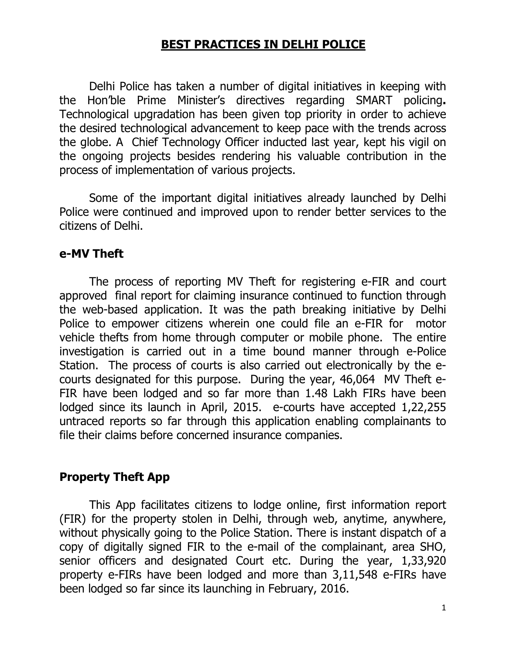## **BEST PRACTICES IN DELHI POLICE**

 Delhi Police has taken a number of digital initiatives in keeping with the Hon'ble Prime Minister's directives regarding SMART policing**.**  Technological upgradation has been given top priority in order to achieve the desired technological advancement to keep pace with the trends across the globe. A Chief Technology Officer inducted last year, kept his vigil on the ongoing projects besides rendering his valuable contribution in the process of implementation of various projects.

Some of the important digital initiatives already launched by Delhi Police were continued and improved upon to render better services to the citizens of Delhi.

#### **e-MV Theft**

 The process of reporting MV Theft for registering e-FIR and court approved final report for claiming insurance continued to function through the web-based application. It was the path breaking initiative by Delhi Police to empower citizens wherein one could file an e-FIR for motor vehicle thefts from home through computer or mobile phone. The entire investigation is carried out in a time bound manner through e-Police Station. The process of courts is also carried out electronically by the ecourts designated for this purpose. During the year, 46,064 MV Theft e-FIR have been lodged and so far more than 1.48 Lakh FIRs have been lodged since its launch in April, 2015. e-courts have accepted 1,22,255 untraced reports so far through this application enabling complainants to file their claims before concerned insurance companies.

#### **Property Theft App**

This App facilitates citizens to lodge online, first information report (FIR) for the property stolen in Delhi, through web, anytime, anywhere, without physically going to the Police Station. There is instant dispatch of a copy of digitally signed FIR to the e-mail of the complainant, area SHO, senior officers and designated Court etc. During the year, 1,33,920 property e-FIRs have been lodged and more than 3,11,548 e-FIRs have been lodged so far since its launching in February, 2016.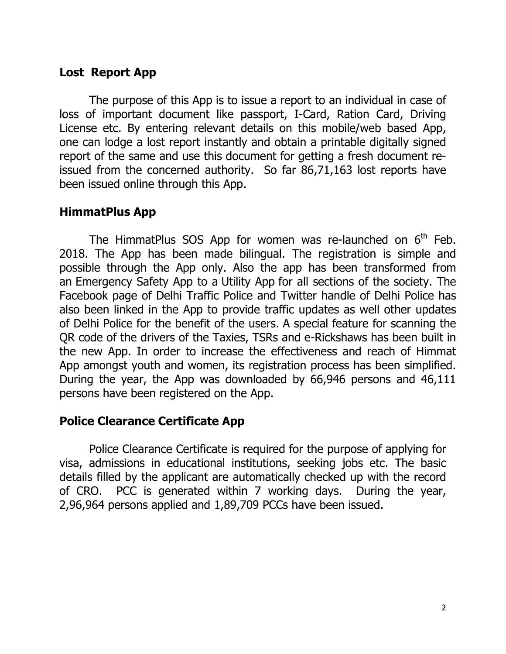#### **Lost Report App**

The purpose of this App is to issue a report to an individual in case of loss of important document like passport, I-Card, Ration Card, Driving License etc. By entering relevant details on this mobile/web based App, one can lodge a lost report instantly and obtain a printable digitally signed report of the same and use this document for getting a fresh document reissued from the concerned authority. So far 86,71,163 lost reports have been issued online through this App.

#### **HimmatPlus App**

The HimmatPlus SOS App for women was re-launched on  $6<sup>th</sup>$  Feb. 2018. The App has been made bilingual. The registration is simple and possible through the App only. Also the app has been transformed from an Emergency Safety App to a Utility App for all sections of the society. The Facebook page of Delhi Traffic Police and Twitter handle of Delhi Police has also been linked in the App to provide traffic updates as well other updates of Delhi Police for the benefit of the users. A special feature for scanning the QR code of the drivers of the Taxies, TSRs and e-Rickshaws has been built in the new App. In order to increase the effectiveness and reach of Himmat App amongst youth and women, its registration process has been simplified. During the year, the App was downloaded by 66,946 persons and 46,111 persons have been registered on the App.

# **Police Clearance Certificate App**

 Police Clearance Certificate is required for the purpose of applying for visa, admissions in educational institutions, seeking jobs etc. The basic details filled by the applicant are automatically checked up with the record of CRO. PCC is generated within 7 working days. During the year, 2,96,964 persons applied and 1,89,709 PCCs have been issued.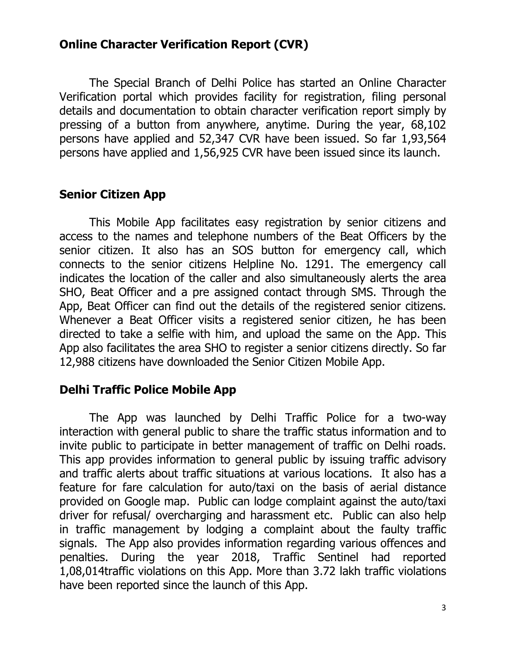## **Online Character Verification Report (CVR)**

 The Special Branch of Delhi Police has started an Online Character Verification portal which provides facility for registration, filing personal details and documentation to obtain character verification report simply by pressing of a button from anywhere, anytime. During the year, 68,102 persons have applied and 52,347 CVR have been issued. So far 1,93,564 persons have applied and 1,56,925 CVR have been issued since its launch.

## **Senior Citizen App**

 This Mobile App facilitates easy registration by senior citizens and access to the names and telephone numbers of the Beat Officers by the senior citizen. It also has an SOS button for emergency call, which connects to the senior citizens Helpline No. 1291. The emergency call indicates the location of the caller and also simultaneously alerts the area SHO, Beat Officer and a pre assigned contact through SMS. Through the App, Beat Officer can find out the details of the registered senior citizens. Whenever a Beat Officer visits a registered senior citizen, he has been directed to take a selfie with him, and upload the same on the App. This App also facilitates the area SHO to register a senior citizens directly. So far 12,988 citizens have downloaded the Senior Citizen Mobile App.

#### **Delhi Traffic Police Mobile App**

 The App was launched by Delhi Traffic Police for a two-way interaction with general public to share the traffic status information and to invite public to participate in better management of traffic on Delhi roads. This app provides information to general public by issuing traffic advisory and traffic alerts about traffic situations at various locations. It also has a feature for fare calculation for auto/taxi on the basis of aerial distance provided on Google map. Public can lodge complaint against the auto/taxi driver for refusal/ overcharging and harassment etc. Public can also help in traffic management by lodging a complaint about the faulty traffic signals. The App also provides information regarding various offences and penalties. During the year 2018, Traffic Sentinel had reported 1,08,014traffic violations on this App. More than 3.72 lakh traffic violations have been reported since the launch of this App.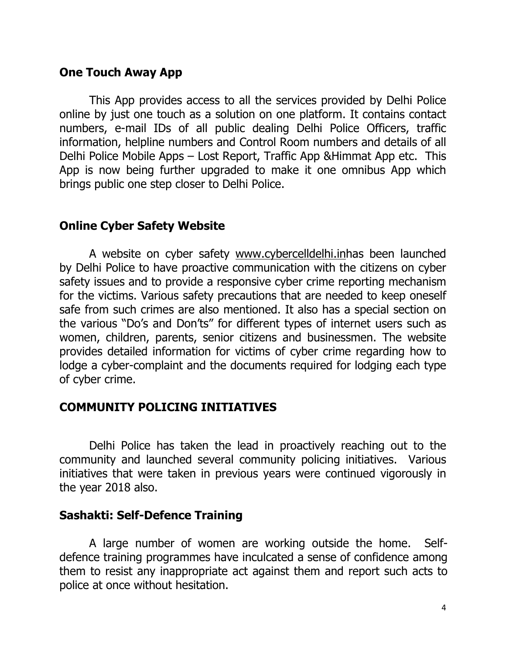#### **One Touch Away App**

 This App provides access to all the services provided by Delhi Police online by just one touch as a solution on one platform. It contains contact numbers, e-mail IDs of all public dealing Delhi Police Officers, traffic information, helpline numbers and Control Room numbers and details of all Delhi Police Mobile Apps – Lost Report, Traffic App &Himmat App etc. This App is now being further upgraded to make it one omnibus App which brings public one step closer to Delhi Police.

## **Online Cyber Safety Website**

 A website on cyber safety www.cybercelldelhi.inhas been launched by Delhi Police to have proactive communication with the citizens on cyber safety issues and to provide a responsive cyber crime reporting mechanism for the victims. Various safety precautions that are needed to keep oneself safe from such crimes are also mentioned. It also has a special section on the various "Do's and Don'ts" for different types of internet users such as women, children, parents, senior citizens and businessmen. The website provides detailed information for victims of cyber crime regarding how to lodge a cyber-complaint and the documents required for lodging each type of cyber crime.

# **COMMUNITY POLICING INITIATIVES**

 Delhi Police has taken the lead in proactively reaching out to the community and launched several community policing initiatives. Various initiatives that were taken in previous years were continued vigorously in the year 2018 also.

#### **Sashakti: Self-Defence Training**

 A large number of women are working outside the home. Selfdefence training programmes have inculcated a sense of confidence among them to resist any inappropriate act against them and report such acts to police at once without hesitation.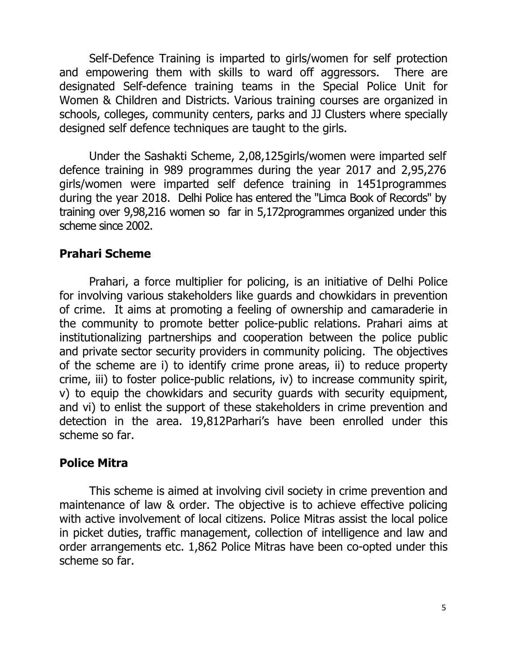Self-Defence Training is imparted to girls/women for self protection and empowering them with skills to ward off aggressors. There are designated Self-defence training teams in the Special Police Unit for Women & Children and Districts. Various training courses are organized in schools, colleges, community centers, parks and JJ Clusters where specially designed self defence techniques are taught to the girls.

 Under the Sashakti Scheme, 2,08,125girls/women were imparted self defence training in 989 programmes during the year 2017 and 2,95,276 girls/women were imparted self defence training in 1451programmes during the year 2018. Delhi Police has entered the "Limca Book of Records" by training over 9,98,216 women so far in 5,172programmes organized under this scheme since 2002.

# **Prahari Scheme**

 Prahari, a force multiplier for policing, is an initiative of Delhi Police for involving various stakeholders like guards and chowkidars in prevention of crime. It aims at promoting a feeling of ownership and camaraderie in the community to promote better police-public relations. Prahari aims at institutionalizing partnerships and cooperation between the police public and private sector security providers in community policing. The objectives of the scheme are i) to identify crime prone areas, ii) to reduce property crime, iii) to foster police-public relations, iv) to increase community spirit, v) to equip the chowkidars and security guards with security equipment, and vi) to enlist the support of these stakeholders in crime prevention and detection in the area. 19,812Parhari's have been enrolled under this scheme so far.

#### **Police Mitra**

 This scheme is aimed at involving civil society in crime prevention and maintenance of law & order. The objective is to achieve effective policing with active involvement of local citizens. Police Mitras assist the local police in picket duties, traffic management, collection of intelligence and law and order arrangements etc. 1,862 Police Mitras have been co-opted under this scheme so far.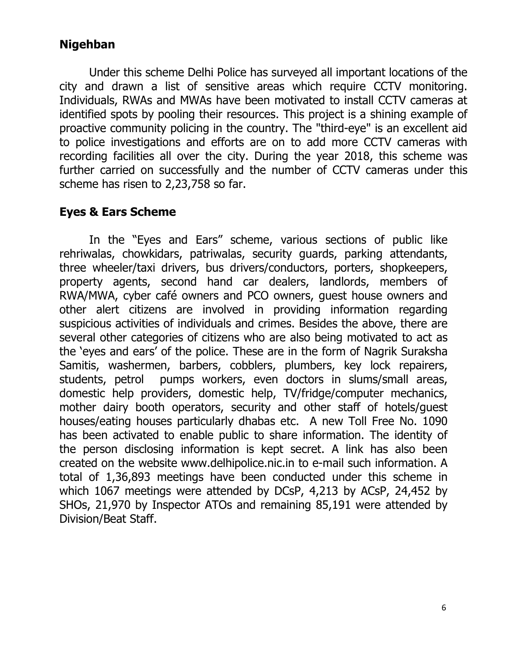# **Nigehban**

Under this scheme Delhi Police has surveyed all important locations of the city and drawn a list of sensitive areas which require CCTV monitoring. Individuals, RWAs and MWAs have been motivated to install CCTV cameras at identified spots by pooling their resources. This project is a shining example of proactive community policing in the country. The "third-eye" is an excellent aid to police investigations and efforts are on to add more CCTV cameras with recording facilities all over the city. During the year 2018, this scheme was further carried on successfully and the number of CCTV cameras under this scheme has risen to 2,23,758 so far.

# **Eyes & Ears Scheme**

 In the "Eyes and Ears" scheme, various sections of public like rehriwalas, chowkidars, patriwalas, security guards, parking attendants, three wheeler/taxi drivers, bus drivers/conductors, porters, shopkeepers, property agents, second hand car dealers, landlords, members of RWA/MWA, cyber café owners and PCO owners, guest house owners and other alert citizens are involved in providing information regarding suspicious activities of individuals and crimes. Besides the above, there are several other categories of citizens who are also being motivated to act as the 'eyes and ears' of the police. These are in the form of Nagrik Suraksha Samitis, washermen, barbers, cobblers, plumbers, key lock repairers, students, petrol pumps workers, even doctors in slums/small areas, domestic help providers, domestic help, TV/fridge/computer mechanics, mother dairy booth operators, security and other staff of hotels/guest houses/eating houses particularly dhabas etc. A new Toll Free No. 1090 has been activated to enable public to share information. The identity of the person disclosing information is kept secret. A link has also been created on the website www.delhipolice.nic.in to e-mail such information. A total of 1,36,893 meetings have been conducted under this scheme in which 1067 meetings were attended by DCsP, 4,213 by ACsP, 24,452 by SHOs, 21,970 by Inspector ATOs and remaining 85,191 were attended by Division/Beat Staff.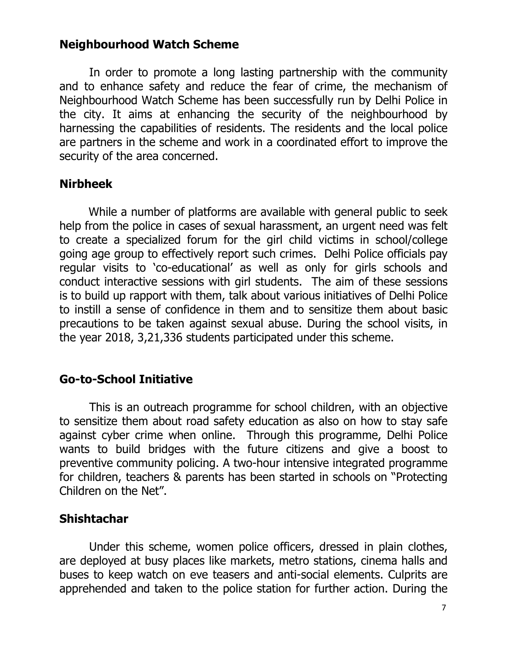#### **Neighbourhood Watch Scheme**

 In order to promote a long lasting partnership with the community and to enhance safety and reduce the fear of crime, the mechanism of Neighbourhood Watch Scheme has been successfully run by Delhi Police in the city. It aims at enhancing the security of the neighbourhood by harnessing the capabilities of residents. The residents and the local police are partners in the scheme and work in a coordinated effort to improve the security of the area concerned.

#### **Nirbheek**

While a number of platforms are available with general public to seek help from the police in cases of sexual harassment, an urgent need was felt to create a specialized forum for the girl child victims in school/college going age group to effectively report such crimes. Delhi Police officials pay regular visits to 'co-educational' as well as only for girls schools and conduct interactive sessions with girl students. The aim of these sessions is to build up rapport with them, talk about various initiatives of Delhi Police to instill a sense of confidence in them and to sensitize them about basic precautions to be taken against sexual abuse. During the school visits, in the year 2018, 3,21,336 students participated under this scheme.

#### **Go-to-School Initiative**

 This is an outreach programme for school children, with an objective to sensitize them about road safety education as also on how to stay safe against cyber crime when online. Through this programme, Delhi Police wants to build bridges with the future citizens and give a boost to preventive community policing. A two-hour intensive integrated programme for children, teachers & parents has been started in schools on "Protecting Children on the Net".

#### **Shishtachar**

Under this scheme, women police officers, dressed in plain clothes, are deployed at busy places like markets, metro stations, cinema halls and buses to keep watch on eve teasers and anti-social elements. Culprits are apprehended and taken to the police station for further action. During the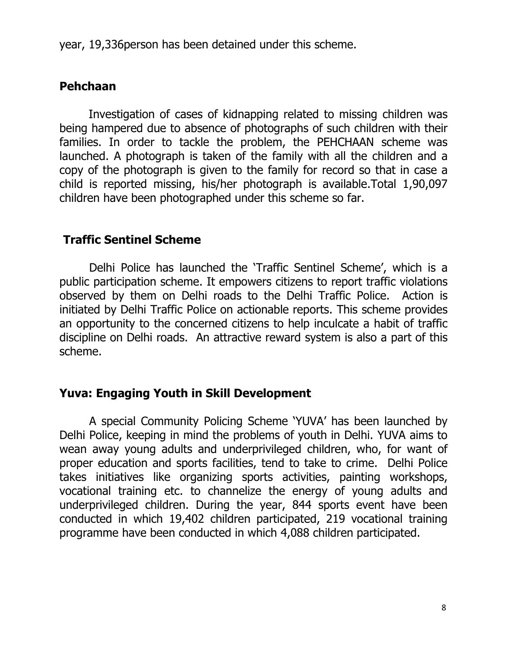year, 19,336person has been detained under this scheme.

### **Pehchaan**

Investigation of cases of kidnapping related to missing children was being hampered due to absence of photographs of such children with their families. In order to tackle the problem, the PEHCHAAN scheme was launched. A photograph is taken of the family with all the children and a copy of the photograph is given to the family for record so that in case a child is reported missing, his/her photograph is available.Total 1,90,097 children have been photographed under this scheme so far.

## **Traffic Sentinel Scheme**

 Delhi Police has launched the 'Traffic Sentinel Scheme', which is a public participation scheme. It empowers citizens to report traffic violations observed by them on Delhi roads to the Delhi Traffic Police. Action is initiated by Delhi Traffic Police on actionable reports. This scheme provides an opportunity to the concerned citizens to help inculcate a habit of traffic discipline on Delhi roads. An attractive reward system is also a part of this scheme.

#### **Yuva: Engaging Youth in Skill Development**

 A special Community Policing Scheme 'YUVA' has been launched by Delhi Police, keeping in mind the problems of youth in Delhi. YUVA aims to wean away young adults and underprivileged children, who, for want of proper education and sports facilities, tend to take to crime. Delhi Police takes initiatives like organizing sports activities, painting workshops, vocational training etc. to channelize the energy of young adults and underprivileged children. During the year, 844 sports event have been conducted in which 19,402 children participated, 219 vocational training programme have been conducted in which 4,088 children participated.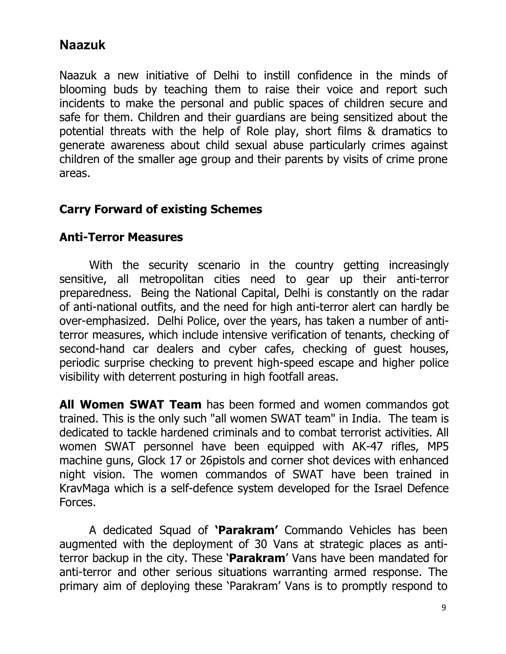# **Naazuk**

Naazuk a new initiative of Delhi to instill confidence in the minds of blooming buds by teaching them to raise their voice and report such incidents to make the personal and public spaces of children secure and safe for them. Children and their guardians are being sensitized about the potential threats with the help of Role play, short films & dramatics to generate awareness about child sexual abuse particularly crimes against children of the smaller age group and their parents by visits of crime prone areas.

#### **Carry Forward of existing Schemes**

#### **Anti-Terror Measures**

With the security scenario in the country getting increasingly sensitive, all metropolitan cities need to gear up their anti-terror preparedness. Being the National Capital, Delhi is constantly on the radar of anti-national outfits, and the need for high anti-terror alert can hardly be over-emphasized. Delhi Police, over the years, has taken a number of antiterror measures, which include intensive verification of tenants, checking of second-hand car dealers and cyber cafes, checking of guest houses, periodic surprise checking to prevent high-speed escape and higher police visibility with deterrent posturing in high footfall areas.

**All Women SWAT Team** has been formed and women commandos got trained. This is the only such "all women SWAT team" in India. The team is dedicated to tackle hardened criminals and to combat terrorist activities. All women SWAT personnel have been equipped with AK-47 rifles, MP5 machine guns, Glock 17 or 26pistols and corner shot devices with enhanced night vision. The women commandos of SWAT have been trained in KravMaga which is a self-defence system developed for the Israel Defence Forces.

A dedicated Squad of **'Parakram'** Commando Vehicles has been augmented with the deployment of 30 Vans at strategic places as antiterror backup in the city. These '**Parakram**' Vans have been mandated for anti-terror and other serious situations warranting armed response. The primary aim of deploying these 'Parakram' Vans is to promptly respond to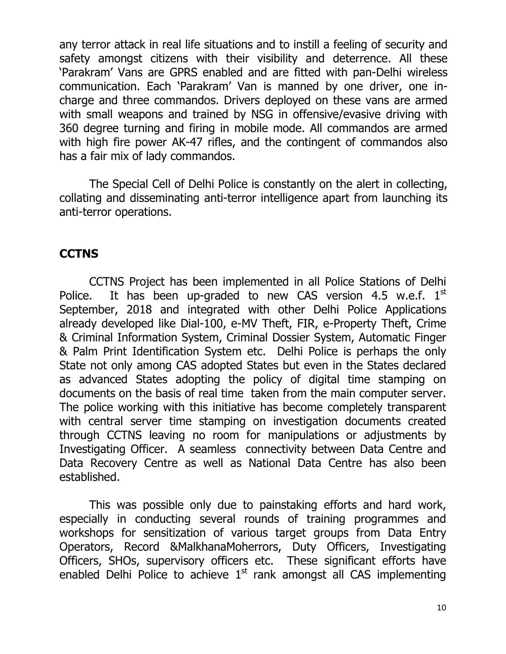any terror attack in real life situations and to instill a feeling of security and safety amongst citizens with their visibility and deterrence. All these 'Parakram' Vans are GPRS enabled and are fitted with pan-Delhi wireless communication. Each 'Parakram' Van is manned by one driver, one incharge and three commandos. Drivers deployed on these vans are armed with small weapons and trained by NSG in offensive/evasive driving with 360 degree turning and firing in mobile mode. All commandos are armed with high fire power AK-47 rifles, and the contingent of commandos also has a fair mix of lady commandos.

 The Special Cell of Delhi Police is constantly on the alert in collecting, collating and disseminating anti-terror intelligence apart from launching its anti-terror operations.

#### **CCTNS**

CCTNS Project has been implemented in all Police Stations of Delhi Police. It has been up-graded to new CAS version 4.5 w.e.f.  $1<sup>st</sup>$ September, 2018 and integrated with other Delhi Police Applications already developed like Dial-100, e-MV Theft, FIR, e-Property Theft, Crime & Criminal Information System, Criminal Dossier System, Automatic Finger & Palm Print Identification System etc. Delhi Police is perhaps the only State not only among CAS adopted States but even in the States declared as advanced States adopting the policy of digital time stamping on documents on the basis of real time taken from the main computer server. The police working with this initiative has become completely transparent with central server time stamping on investigation documents created through CCTNS leaving no room for manipulations or adjustments by Investigating Officer. A seamless connectivity between Data Centre and Data Recovery Centre as well as National Data Centre has also been established.

 This was possible only due to painstaking efforts and hard work, especially in conducting several rounds of training programmes and workshops for sensitization of various target groups from Data Entry Operators, Record &MalkhanaMoherrors, Duty Officers, Investigating Officers, SHOs, supervisory officers etc. These significant efforts have enabled Delhi Police to achieve  $1<sup>st</sup>$  rank amongst all CAS implementing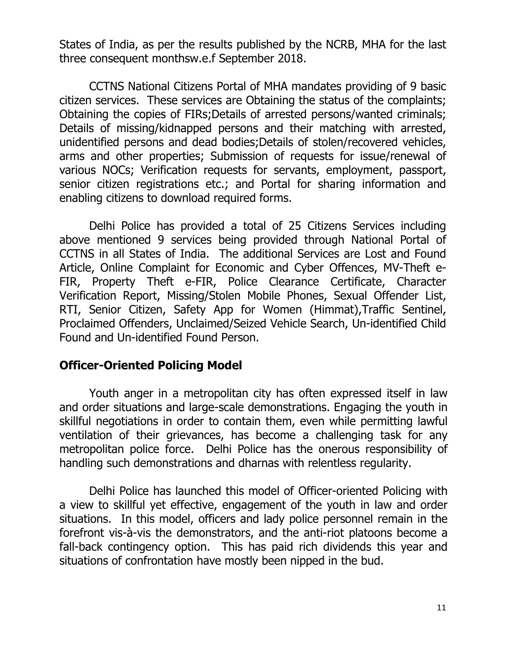States of India, as per the results published by the NCRB, MHA for the last three consequent monthsw.e.f September 2018.

 CCTNS National Citizens Portal of MHA mandates providing of 9 basic citizen services. These services are Obtaining the status of the complaints; Obtaining the copies of FIRs;Details of arrested persons/wanted criminals; Details of missing/kidnapped persons and their matching with arrested, unidentified persons and dead bodies;Details of stolen/recovered vehicles, arms and other properties; Submission of requests for issue/renewal of various NOCs; Verification requests for servants, employment, passport, senior citizen registrations etc.; and Portal for sharing information and enabling citizens to download required forms.

 Delhi Police has provided a total of 25 Citizens Services including above mentioned 9 services being provided through National Portal of CCTNS in all States of India. The additional Services are Lost and Found Article, Online Complaint for Economic and Cyber Offences, MV-Theft e-FIR, Property Theft e-FIR, Police Clearance Certificate, Character Verification Report, Missing/Stolen Mobile Phones, Sexual Offender List, RTI, Senior Citizen, Safety App for Women (Himmat),Traffic Sentinel, Proclaimed Offenders, Unclaimed/Seized Vehicle Search, Un-identified Child Found and Un-identified Found Person.

#### **Officer-Oriented Policing Model**

 Youth anger in a metropolitan city has often expressed itself in law and order situations and large-scale demonstrations. Engaging the youth in skillful negotiations in order to contain them, even while permitting lawful ventilation of their grievances, has become a challenging task for any metropolitan police force. Delhi Police has the onerous responsibility of handling such demonstrations and dharnas with relentless regularity.

 Delhi Police has launched this model of Officer-oriented Policing with a view to skillful yet effective, engagement of the youth in law and order situations. In this model, officers and lady police personnel remain in the forefront vis-à-vis the demonstrators, and the anti-riot platoons become a fall-back contingency option. This has paid rich dividends this year and situations of confrontation have mostly been nipped in the bud.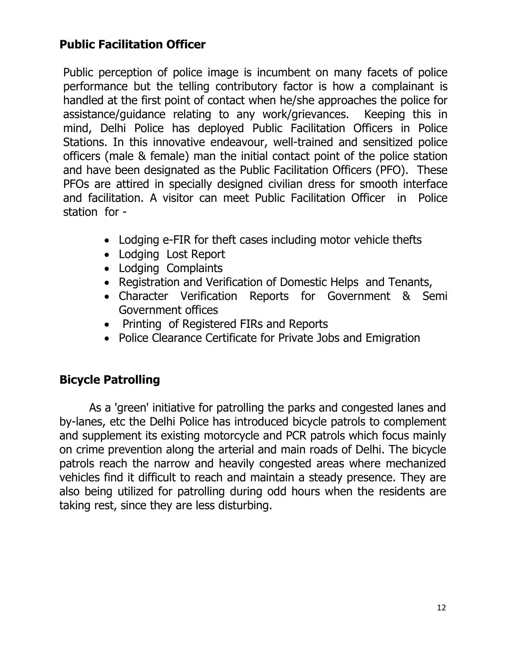# **Public Facilitation Officer**

Public perception of police image is incumbent on many facets of police performance but the telling contributory factor is how a complainant is handled at the first point of contact when he/she approaches the police for assistance/guidance relating to any work/grievances. Keeping this in mind, Delhi Police has deployed Public Facilitation Officers in Police Stations. In this innovative endeavour, well-trained and sensitized police officers (male & female) man the initial contact point of the police station and have been designated as the Public Facilitation Officers (PFO). These PFOs are attired in specially designed civilian dress for smooth interface and facilitation. A visitor can meet Public Facilitation Officer in Police station for -

- Lodging e-FIR for theft cases including motor vehicle thefts
- Lodging Lost Report
- Lodging Complaints
- Registration and Verification of Domestic Helps and Tenants,
- Character Verification Reports for Government & Semi Government offices
- Printing of Registered FIRs and Reports
- Police Clearance Certificate for Private Jobs and Emigration

#### **Bicycle Patrolling**

As a 'green' initiative for patrolling the parks and congested lanes and by-lanes, etc the Delhi Police has introduced bicycle patrols to complement and supplement its existing motorcycle and PCR patrols which focus mainly on crime prevention along the arterial and main roads of Delhi. The bicycle patrols reach the narrow and heavily congested areas where mechanized vehicles find it difficult to reach and maintain a steady presence. They are also being utilized for patrolling during odd hours when the residents are taking rest, since they are less disturbing.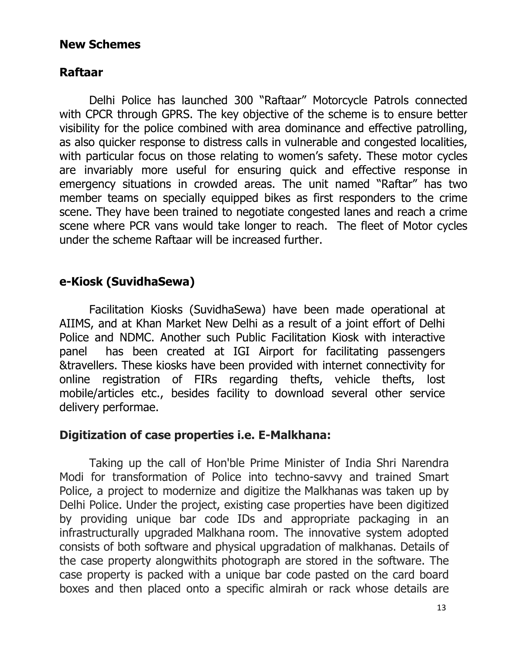#### **New Schemes**

## **Raftaar**

 Delhi Police has launched 300 "Raftaar" Motorcycle Patrols connected with CPCR through GPRS. The key objective of the scheme is to ensure better visibility for the police combined with area dominance and effective patrolling, as also quicker response to distress calls in vulnerable and congested localities, with particular focus on those relating to women's safety. These motor cycles are invariably more useful for ensuring quick and effective response in emergency situations in crowded areas. The unit named "Raftar" has two member teams on specially equipped bikes as first responders to the crime scene. They have been trained to negotiate congested lanes and reach a crime scene where PCR vans would take longer to reach. The fleet of Motor cycles under the scheme Raftaar will be increased further.

# **e-Kiosk (SuvidhaSewa)**

 Facilitation Kiosks (SuvidhaSewa) have been made operational at AIIMS, and at Khan Market New Delhi as a result of a joint effort of Delhi Police and NDMC. Another such Public Facilitation Kiosk with interactive panel has been created at IGI Airport for facilitating passengers &travellers. These kiosks have been provided with internet connectivity for online registration of FIRs regarding thefts, vehicle thefts, lost mobile/articles etc., besides facility to download several other service delivery performae.

#### **Digitization of case properties i.e. E-Malkhana:**

Taking up the call of Hon'ble Prime Minister of India Shri Narendra Modi for transformation of Police into techno-savvy and trained Smart Police, a project to modernize and digitize the Malkhanas was taken up by Delhi Police. Under the project, existing case properties have been digitized by providing unique bar code IDs and appropriate packaging in an infrastructurally upgraded Malkhana room. The innovative system adopted consists of both software and physical upgradation of malkhanas. Details of the case property alongwithits photograph are stored in the software. The case property is packed with a unique bar code pasted on the card board boxes and then placed onto a specific almirah or rack whose details are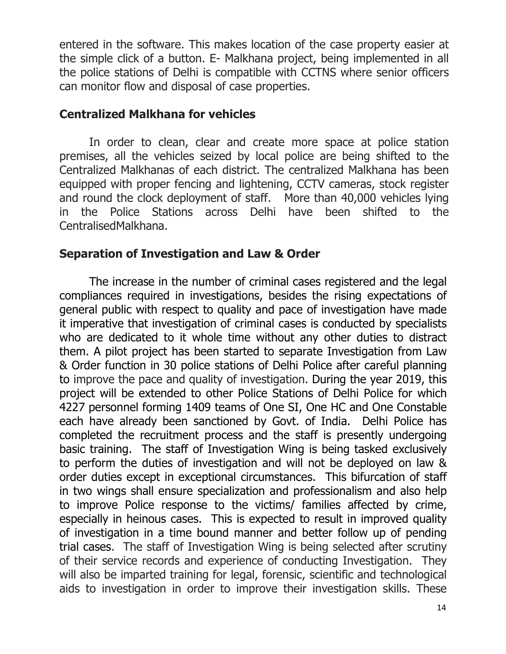entered in the software. This makes location of the case property easier at the simple click of a button. E- Malkhana project, being implemented in all the police stations of Delhi is compatible with CCTNS where senior officers can monitor flow and disposal of case properties.

#### **Centralized Malkhana for vehicles**

 In order to clean, clear and create more space at police station premises, all the vehicles seized by local police are being shifted to the Centralized Malkhanas of each district. The centralized Malkhana has been equipped with proper fencing and lightening, CCTV cameras, stock register and round the clock deployment of staff. More than 40,000 vehicles lying in the Police Stations across Delhi have been shifted to the CentralisedMalkhana.

# **Separation of Investigation and Law & Order**

The increase in the number of criminal cases registered and the legal compliances required in investigations, besides the rising expectations of general public with respect to quality and pace of investigation have made it imperative that investigation of criminal cases is conducted by specialists who are dedicated to it whole time without any other duties to distract them. A pilot project has been started to separate Investigation from Law & Order function in 30 police stations of Delhi Police after careful planning to improve the pace and quality of investigation. During the year 2019, this project will be extended to other Police Stations of Delhi Police for which 4227 personnel forming 1409 teams of One SI, One HC and One Constable each have already been sanctioned by Govt. of India. Delhi Police has completed the recruitment process and the staff is presently undergoing basic training. The staff of Investigation Wing is being tasked exclusively to perform the duties of investigation and will not be deployed on law & order duties except in exceptional circumstances. This bifurcation of staff in two wings shall ensure specialization and professionalism and also help to improve Police response to the victims/ families affected by crime, especially in heinous cases. This is expected to result in improved quality of investigation in a time bound manner and better follow up of pending trial cases. The staff of Investigation Wing is being selected after scrutiny of their service records and experience of conducting Investigation. They will also be imparted training for legal, forensic, scientific and technological aids to investigation in order to improve their investigation skills. These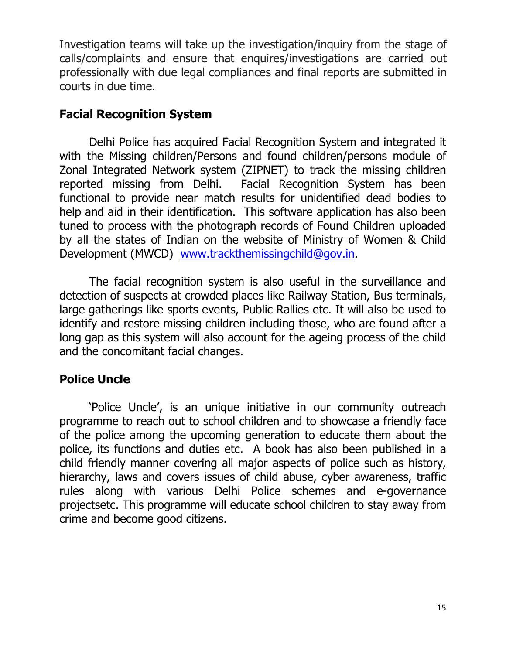Investigation teams will take up the investigation/inquiry from the stage of calls/complaints and ensure that enquires/investigations are carried out professionally with due legal compliances and final reports are submitted in courts in due time.

### **Facial Recognition System**

 Delhi Police has acquired Facial Recognition System and integrated it with the Missing children/Persons and found children/persons module of Zonal Integrated Network system (ZIPNET) to track the missing children reported missing from Delhi. Facial Recognition System has been functional to provide near match results for unidentified dead bodies to help and aid in their identification. This software application has also been tuned to process with the photograph records of Found Children uploaded by all the states of Indian on the website of Ministry of Women & Child Development (MWCD) www.trackthemissingchild@gov.in.

 The facial recognition system is also useful in the surveillance and detection of suspects at crowded places like Railway Station, Bus terminals, large gatherings like sports events, Public Rallies etc. It will also be used to identify and restore missing children including those, who are found after a long gap as this system will also account for the ageing process of the child and the concomitant facial changes.

# **Police Uncle**

 'Police Uncle', is an unique initiative in our community outreach programme to reach out to school children and to showcase a friendly face of the police among the upcoming generation to educate them about the police, its functions and duties etc. A book has also been published in a child friendly manner covering all major aspects of police such as history, hierarchy, laws and covers issues of child abuse, cyber awareness, traffic rules along with various Delhi Police schemes and e-governance projectsetc. This programme will educate school children to stay away from crime and become good citizens.